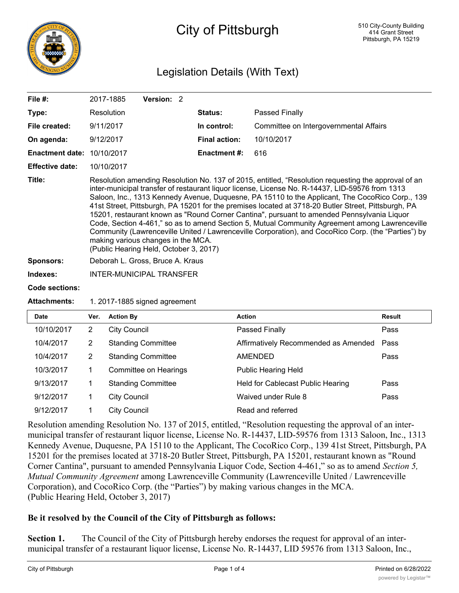

# City of Pittsburgh

# Legislation Details (With Text)

| File $#$ :             | 2017-1885                                                                                                                                                                                                                                                                                                                                                                                                                                                                                                                                                                                                                                                                                                                                                                                               | <b>Version: 2</b>                |                      |                                        |  |  |  |
|------------------------|---------------------------------------------------------------------------------------------------------------------------------------------------------------------------------------------------------------------------------------------------------------------------------------------------------------------------------------------------------------------------------------------------------------------------------------------------------------------------------------------------------------------------------------------------------------------------------------------------------------------------------------------------------------------------------------------------------------------------------------------------------------------------------------------------------|----------------------------------|----------------------|----------------------------------------|--|--|--|
| Type:                  | Resolution                                                                                                                                                                                                                                                                                                                                                                                                                                                                                                                                                                                                                                                                                                                                                                                              |                                  | <b>Status:</b>       | Passed Finally                         |  |  |  |
| File created:          | 9/11/2017                                                                                                                                                                                                                                                                                                                                                                                                                                                                                                                                                                                                                                                                                                                                                                                               |                                  | In control:          | Committee on Intergovernmental Affairs |  |  |  |
| On agenda:             | 9/12/2017                                                                                                                                                                                                                                                                                                                                                                                                                                                                                                                                                                                                                                                                                                                                                                                               |                                  | <b>Final action:</b> | 10/10/2017                             |  |  |  |
| <b>Enactment date:</b> | 10/10/2017                                                                                                                                                                                                                                                                                                                                                                                                                                                                                                                                                                                                                                                                                                                                                                                              |                                  | <b>Enactment #:</b>  | 616                                    |  |  |  |
| <b>Effective date:</b> | 10/10/2017                                                                                                                                                                                                                                                                                                                                                                                                                                                                                                                                                                                                                                                                                                                                                                                              |                                  |                      |                                        |  |  |  |
| Title:                 | Resolution amending Resolution No. 137 of 2015, entitled, "Resolution requesting the approval of an<br>inter-municipal transfer of restaurant liquor license, License No. R-14437, LID-59576 from 1313<br>Saloon, Inc., 1313 Kennedy Avenue, Duquesne, PA 15110 to the Applicant, The CocoRico Corp., 139<br>41st Street, Pittsburgh, PA 15201 for the premises located at 3718-20 Butler Street, Pittsburgh, PA<br>15201, restaurant known as "Round Corner Cantina", pursuant to amended Pennsylvania Liquor<br>Code, Section 4-461," so as to amend Section 5, Mutual Community Agreement among Lawrenceville<br>Community (Lawrenceville United / Lawrenceville Corporation), and CocoRico Corp. (the "Parties") by<br>making various changes in the MCA.<br>(Public Hearing Held, October 3, 2017) |                                  |                      |                                        |  |  |  |
| <b>Sponsors:</b>       |                                                                                                                                                                                                                                                                                                                                                                                                                                                                                                                                                                                                                                                                                                                                                                                                         | Deborah L. Gross, Bruce A. Kraus |                      |                                        |  |  |  |
| Indexes:               |                                                                                                                                                                                                                                                                                                                                                                                                                                                                                                                                                                                                                                                                                                                                                                                                         | INTER-MUNICIPAL TRANSFER         |                      |                                        |  |  |  |
| Code sections:         |                                                                                                                                                                                                                                                                                                                                                                                                                                                                                                                                                                                                                                                                                                                                                                                                         |                                  |                      |                                        |  |  |  |

### **Attachments:** 1. 2017-1885 signed agreement

| <b>Date</b> | Ver. | <b>Action By</b>          | <b>Action</b>                        | <b>Result</b> |
|-------------|------|---------------------------|--------------------------------------|---------------|
| 10/10/2017  | 2    | <b>City Council</b>       | Passed Finally                       | Pass          |
| 10/4/2017   | 2    | <b>Standing Committee</b> | Affirmatively Recommended as Amended | Pass          |
| 10/4/2017   | 2    | <b>Standing Committee</b> | <b>AMENDED</b>                       | Pass          |
| 10/3/2017   |      | Committee on Hearings     | <b>Public Hearing Held</b>           |               |
| 9/13/2017   |      | <b>Standing Committee</b> | Held for Cablecast Public Hearing    | Pass          |
| 9/12/2017   |      | <b>City Council</b>       | Waived under Rule 8                  | Pass          |
| 9/12/2017   |      | <b>City Council</b>       | Read and referred                    |               |

Resolution amending Resolution No. 137 of 2015, entitled, "Resolution requesting the approval of an intermunicipal transfer of restaurant liquor license, License No. R-14437, LID-59576 from 1313 Saloon, Inc., 1313 Kennedy Avenue, Duquesne, PA 15110 to the Applicant, The CocoRico Corp., 139 41st Street, Pittsburgh, PA 15201 for the premises located at 3718-20 Butler Street, Pittsburgh, PA 15201, restaurant known as "Round Corner Cantina", pursuant to amended Pennsylvania Liquor Code, Section 4-461," so as to amend *Section 5, Mutual Community Agreement* among Lawrenceville Community (Lawrenceville United / Lawrenceville Corporation), and CocoRico Corp. (the "Parties") by making various changes in the MCA. (Public Hearing Held, October 3, 2017)

# **Be it resolved by the Council of the City of Pittsburgh as follows:**

**Section 1.** The Council of the City of Pittsburgh hereby endorses the request for approval of an intermunicipal transfer of a restaurant liquor license, License No. R-14437, LID 59576 from 1313 Saloon, Inc.,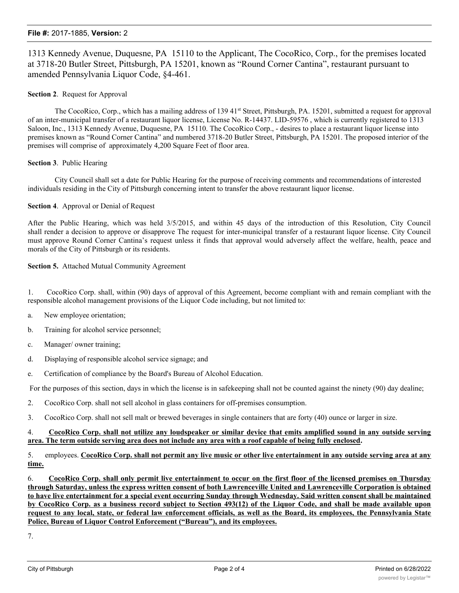#### **File #:** 2017-1885, **Version:** 2

1313 Kennedy Avenue, Duquesne, PA 15110 to the Applicant, The CocoRico, Corp., for the premises located at 3718-20 Butler Street, Pittsburgh, PA 15201, known as "Round Corner Cantina", restaurant pursuant to amended Pennsylvania Liquor Code, §4-461.

#### **Section 2**. Request for Approval

The CocoRico, Corp., which has a mailing address of 139 41<sup>st</sup> Street, Pittsburgh, PA. 15201, submitted a request for approval of an inter-municipal transfer of a restaurant liquor license, License No. R-14437. LID-59576 , which is currently registered to 1313 Saloon, Inc., 1313 Kennedy Avenue, Duquesne, PA 15110. The CocoRico Corp., - desires to place a restaurant liquor license into premises known as "Round Corner Cantina" and numbered 3718-20 Butler Street, Pittsburgh, PA 15201. The proposed interior of the premises will comprise of approximately 4,200 Square Feet of floor area.

#### **Section 3**. Public Hearing

City Council shall set a date for Public Hearing for the purpose of receiving comments and recommendations of interested individuals residing in the City of Pittsburgh concerning intent to transfer the above restaurant liquor license.

#### **Section 4**. Approval or Denial of Request

After the Public Hearing, which was held 3/5/2015, and within 45 days of the introduction of this Resolution, City Council shall render a decision to approve or disapprove The request for inter-municipal transfer of a restaurant liquor license. City Council must approve Round Corner Cantina's request unless it finds that approval would adversely affect the welfare, health, peace and morals of the City of Pittsburgh or its residents.

#### **Section 5.** Attached Mutual Community Agreement

1. CocoRico Corp. shall, within (90) days of approval of this Agreement, become compliant with and remain compliant with the responsible alcohol management provisions of the Liquor Code including, but not limited to:

- a. New employee orientation;
- b. Training for alcohol service personnel;
- c. Manager/ owner training;
- d. Displaying of responsible alcohol service signage; and
- e. Certification of compliance by the Board's Bureau of Alcohol Education.

For the purposes of this section, days in which the license is in safekeeping shall not be counted against the ninety (90) day dealine;

- 2. CocoRico Corp. shall not sell alcohol in glass containers for off-premises consumption.
- 3. CocoRico Corp. shall not sell malt or brewed beverages in single containers that are forty (40) ounce or larger in size.

#### 4. CocoRico Corp. shall not utilize any loudspeaker or similar device that emits amplified sound in any outside serving **area. The term outside serving area does not include any area with a roof capable of being fully enclosed.**

#### 5. employees. CocoRico Corp. shall not permit any live music or other live entertainment in any outside serving area at any **time.**

6. CocoRico Corp. shall only permit live entertainment to occur on the first floor of the licensed premises on Thursday through Saturday, unless the express written consent of both Lawrenceville United and Lawrenceville Corporation is obtained to have live entertainment for a special event occurring Sunday through Wednesday. Said written consent shall be maintained by CocoRico Corp. as a business record subject to Section 493(12) of the Liquor Code, and shall be made available upon request to any local, state, or federal law enforcement officials, as well as the Board, its employees, the Pennsylvania State **Police, Bureau of Liquor Control Enforcement ("Bureau"), and its employees.**

7.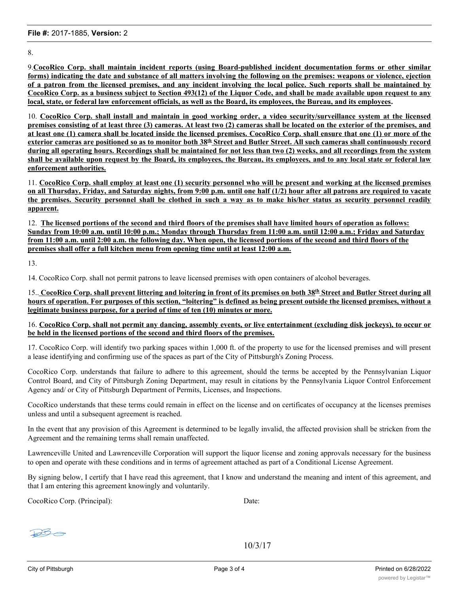8.

9.**CocoRico Corp. shall maintain incident reports (using Board-published incident documentation forms or other similar** forms) indicating the date and substance of all matters involving the following on the premises: weapons or violence, ejection of a patron from the licensed premises, and any incident involving the local police. Such reports shall be maintained by CocoRico Corp. as a business subject to Section 493(12) of the Liquor Code, and shall be made available upon request to any **local, state, or federal law enforcement officials, as well as the Board, its employees, the Bureau, and its employees.**

10. CocoRico Corp. shall install and maintain in good working order, a video security/surveillance system at the licensed premises consisting of at least three (3) cameras. At least two (2) cameras shall be located on the exterior of the premises, and at least one (1) camera shall be located inside the licensed premises. CocoRico Corp. shall ensure that one (1) or more of the exterior cameras are positioned so as to monitor both 38<sup>th</sup> Street and Butler Street. All such cameras shall continuously record during all operating hours. Recordings shall be maintained for not less than two (2) weeks, and all recordings from the system shall be available upon request by the Board, its employees, the Bureau, its employees, and to any local state or federal law **enforcement authorities.**

11. CocoRico Corp. shall employ at least one (1) security personnel who will be present and working at the licensed premises on all Thursday, Friday, and Saturday nights, from 9:00 p.m. until one half (1/2) hour after all patrons are required to vacate the premises. Security personnel shall be clothed in such a way as to make his/her status as security personnel readily **apparent.**

12. **The licensed portions of the second and third floors of the premises shall have limited hours of operation as follows: Sunday from 10:00 a.m. until 10:00 p.m.; Monday through Thursday from 11:00 a.m. until 12:00 a.m.; Friday and Saturday from 11:00 a.m. until 2:00 a.m. the following day. When open, the licensed portions of the second and third floors of the premises shall offer a full kitchen menu from opening time until at least 12:00 a.m.**

13.

14. CocoRico Corp. shall not permit patrons to leave licensed premises with open containers of alcohol beverages.

15. CocoRico Corp. shall prevent littering and loitering in front of its premises on both 38th Street and Butler Street during all hours of operation. For purposes of this section, "loitering" is defined as being present outside the licensed premises, without a **legitimate business purpose, for a period of time of ten (10) minutes or more.**

16. CocoRico Corp. shall not permit any dancing, assembly events, or live entertainment (excluding disk jockeys), to occur or **be held in the licensed portions of the second and third floors of the premises.**

17. CocoRico Corp. will identify two parking spaces within 1,000 ft. of the property to use for the licensed premises and will present a lease identifying and confirming use of the spaces as part of the City of Pittsburgh's Zoning Process.

CocoRico Corp. understands that failure to adhere to this agreement, should the terms be accepted by the Pennsylvanian Liquor Control Board, and City of Pittsburgh Zoning Department, may result in citations by the Pennsylvania Liquor Control Enforcement Agency and/ or City of Pittsburgh Department of Permits, Licenses, and Inspections.

CocoRico understands that these terms could remain in effect on the license and on certificates of occupancy at the licenses premises unless and until a subsequent agreement is reached.

In the event that any provision of this Agreement is determined to be legally invalid, the affected provision shall be stricken from the Agreement and the remaining terms shall remain unaffected.

Lawrenceville United and Lawrenceville Corporation will support the liquor license and zoning approvals necessary for the business to open and operate with these conditions and in terms of agreement attached as part of a Conditional License Agreement.

By signing below, I certify that I have read this agreement, that I know and understand the meaning and intent of this agreement, and that I am entering this agreement knowingly and voluntarily.

CocoRico Corp. (Principal): Date:

 $B<sup>2</sup>$ 

10/3/17